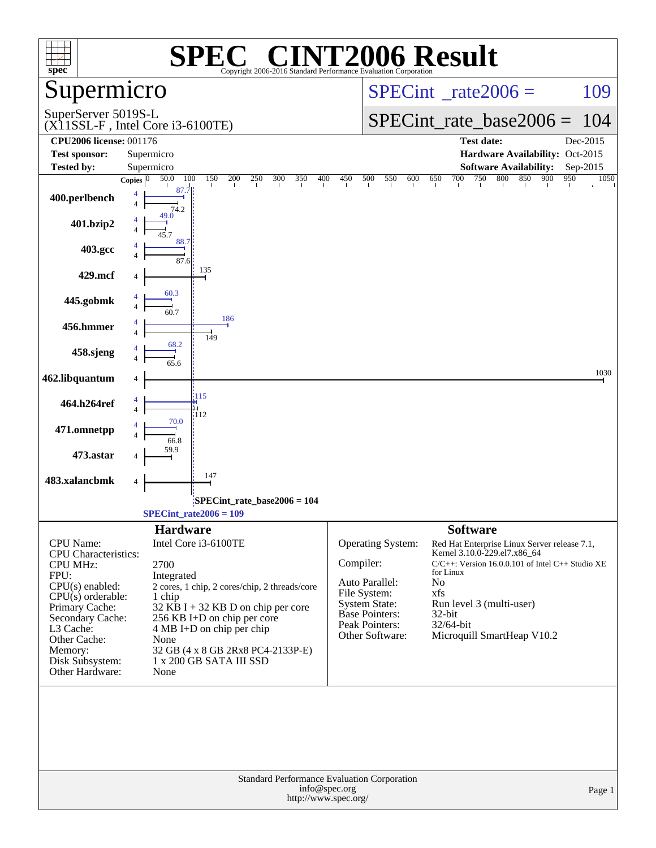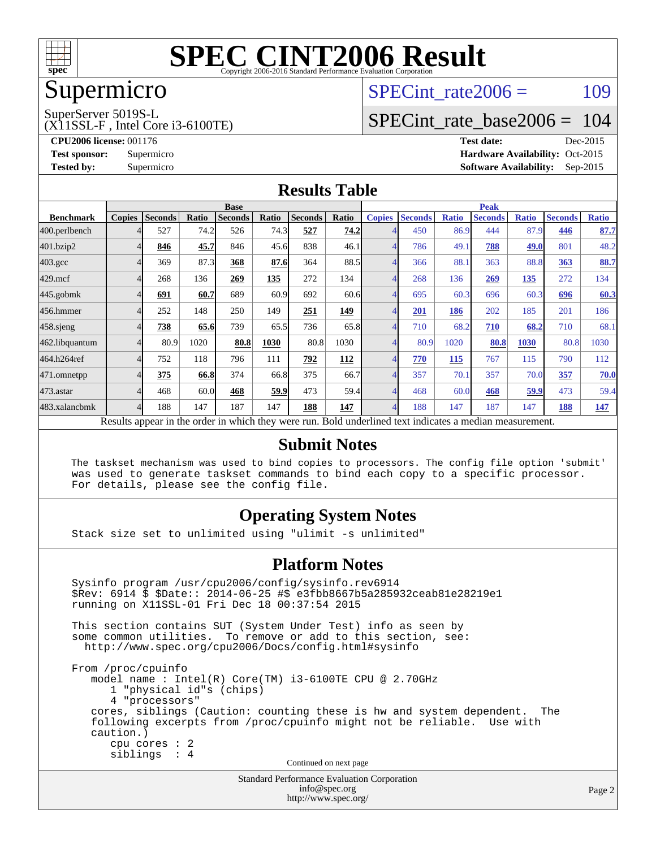

### Supermicro

### SPECint rate $2006 = 109$

SuperServer 5019S-L

(X11SSL-F , Intel Core i3-6100TE)

[SPECint\\_rate\\_base2006 =](http://www.spec.org/auto/cpu2006/Docs/result-fields.html#SPECintratebase2006) 104

**[CPU2006 license:](http://www.spec.org/auto/cpu2006/Docs/result-fields.html#CPU2006license)** 001176 **[Test date:](http://www.spec.org/auto/cpu2006/Docs/result-fields.html#Testdate)** Dec-2015 **[Test sponsor:](http://www.spec.org/auto/cpu2006/Docs/result-fields.html#Testsponsor)** Supermicro Supermicro **[Hardware Availability:](http://www.spec.org/auto/cpu2006/Docs/result-fields.html#HardwareAvailability)** Oct-2015 **[Tested by:](http://www.spec.org/auto/cpu2006/Docs/result-fields.html#Testedby)** Supermicro **Supermicro [Software Availability:](http://www.spec.org/auto/cpu2006/Docs/result-fields.html#SoftwareAvailability)** Sep-2015

#### **[Results Table](http://www.spec.org/auto/cpu2006/Docs/result-fields.html#ResultsTable)**

|                    | <b>Base</b>   |                |       |                |       |                |            | <b>Peak</b>   |                |              |                                                                                                          |              |                |              |
|--------------------|---------------|----------------|-------|----------------|-------|----------------|------------|---------------|----------------|--------------|----------------------------------------------------------------------------------------------------------|--------------|----------------|--------------|
| <b>Benchmark</b>   | <b>Copies</b> | <b>Seconds</b> | Ratio | <b>Seconds</b> | Ratio | <b>Seconds</b> | Ratio      | <b>Copies</b> | <b>Seconds</b> | <b>Ratio</b> | <b>Seconds</b>                                                                                           | <b>Ratio</b> | <b>Seconds</b> | <b>Ratio</b> |
| 400.perlbench      |               | 527            | 74.2  | 526            | 74.3  | 527            | 74.2       |               | 450            | 86.9         | 444                                                                                                      | 87.9         | 446            | 87.7         |
| 401.bzip2          |               | 846            | 45.7  | 846            | 45.6  | 838            | 46.1       | 4             | 786            | 49.1         | 788                                                                                                      | 49.0         | 801            | 48.2         |
| $403.\mathrm{gcc}$ |               | 369            | 87.3  | 368            | 87.6  | 364            | 88.5       |               | 366            | 88.1         | 363                                                                                                      | 88.8         | 363            | 88.7         |
| $429$ .mcf         |               | 268            | 136   | 269            | 135   | 272            | 134        |               | 268            | 136          | 269                                                                                                      | <u>135</u>   | 272            | 134          |
| $445$ .gobmk       |               | 691            | 60.7  | 689            | 60.9  | 692            | 60.6       |               | 695            | 60.3         | 696                                                                                                      | 60.3         | 696            | 60.3         |
| 456.hmmer          |               | 252            | 148   | 250            | 149   | 251            | 149        |               | 201            | 186          | 202                                                                                                      | 185          | 201            | 186          |
| $458$ .sjeng       |               | 738            | 65.6  | 739            | 65.5  | 736            | 65.8       | 4             | 710            | 68.2         | 710                                                                                                      | 68.2         | 710            | 68.1         |
| 462.libquantum     |               | 80.9           | 1020  | 80.8           | 1030  | 80.8           | 1030       |               | 80.9           | 1020         | 80.8                                                                                                     | 1030         | 80.8           | 1030         |
| 464.h264ref        |               | 752            | 118   | 796            | 111   | 792            | <b>112</b> |               | 770            | 115          | 767                                                                                                      | 115          | 790            | 112          |
| 471.omnetpp        |               | 375            | 66.8  | 374            | 66.8  | 375            | 66.7       |               | 357            | 70.1         | 357                                                                                                      | 70.0         | 357            | 70.0         |
| 473.astar          |               | 468            | 60.0  | 468            | 59.9  | 473            | 59.4       | 4             | 468            | 60.0         | 468                                                                                                      | 59.9         | 473            | 59.4         |
| 483.xalancbmk      |               | 188            | 147   | 187            | 147   | 188            | 147        |               | 188            | 147          | 187                                                                                                      | 147          | 188            | 147          |
|                    |               |                |       |                |       |                |            |               |                |              | Results appear in the order in which they were run. Bold underlined text indicates a median measurement. |              |                |              |

#### **[Submit Notes](http://www.spec.org/auto/cpu2006/Docs/result-fields.html#SubmitNotes)**

 The taskset mechanism was used to bind copies to processors. The config file option 'submit' was used to generate taskset commands to bind each copy to a specific processor. For details, please see the config file.

#### **[Operating System Notes](http://www.spec.org/auto/cpu2006/Docs/result-fields.html#OperatingSystemNotes)**

Stack size set to unlimited using "ulimit -s unlimited"

#### **[Platform Notes](http://www.spec.org/auto/cpu2006/Docs/result-fields.html#PlatformNotes)**

Standard Performance Evaluation Corporation Sysinfo program /usr/cpu2006/config/sysinfo.rev6914 \$Rev: 6914 \$ \$Date:: 2014-06-25 #\$ e3fbb8667b5a285932ceab81e28219e1 running on X11SSL-01 Fri Dec 18 00:37:54 2015 This section contains SUT (System Under Test) info as seen by some common utilities. To remove or add to this section, see: <http://www.spec.org/cpu2006/Docs/config.html#sysinfo> From /proc/cpuinfo model name : Intel(R) Core(TM) i3-6100TE CPU @ 2.70GHz 1 "physical id"s (chips) 4 "processors" cores, siblings (Caution: counting these is hw and system dependent. The following excerpts from /proc/cpuinfo might not be reliable. Use with caution.) cpu cores : 2 siblings : 4 Continued on next page

[info@spec.org](mailto:info@spec.org) <http://www.spec.org/>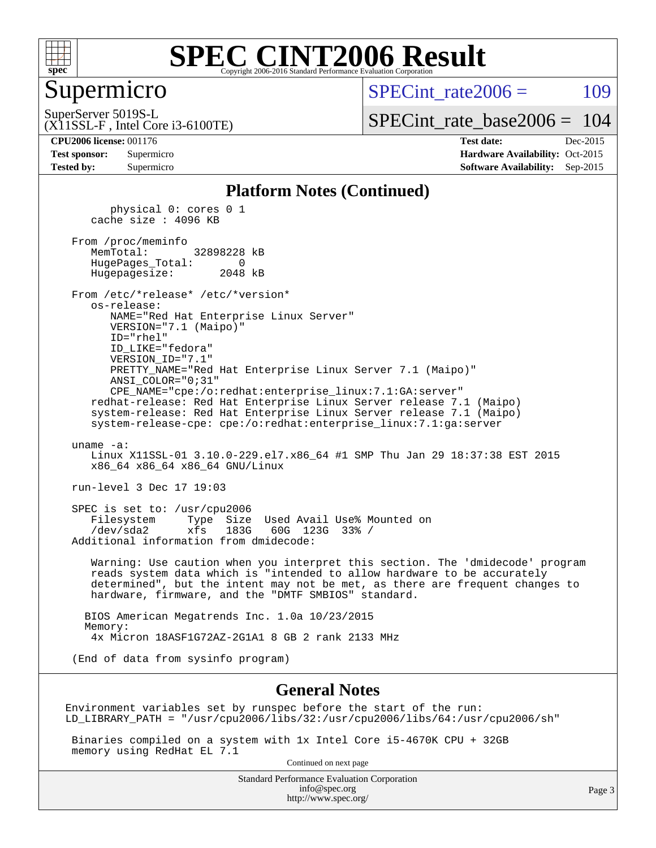

#### Supermicro

SPECint rate $2006 = 109$ 

(X11SSL-F , Intel Core i3-6100TE) SuperServer 5019S-L

[SPECint\\_rate\\_base2006 =](http://www.spec.org/auto/cpu2006/Docs/result-fields.html#SPECintratebase2006) 104

**[CPU2006 license:](http://www.spec.org/auto/cpu2006/Docs/result-fields.html#CPU2006license)** 001176 **[Test date:](http://www.spec.org/auto/cpu2006/Docs/result-fields.html#Testdate)** Dec-2015 **[Test sponsor:](http://www.spec.org/auto/cpu2006/Docs/result-fields.html#Testsponsor)** Supermicro Supermicro **[Hardware Availability:](http://www.spec.org/auto/cpu2006/Docs/result-fields.html#HardwareAvailability)** Oct-2015 **[Tested by:](http://www.spec.org/auto/cpu2006/Docs/result-fields.html#Testedby)** Supermicro **Supermicro [Software Availability:](http://www.spec.org/auto/cpu2006/Docs/result-fields.html#SoftwareAvailability)** Sep-2015

#### **[Platform Notes \(Continued\)](http://www.spec.org/auto/cpu2006/Docs/result-fields.html#PlatformNotes)**

 physical 0: cores 0 1 cache size : 4096 KB From /proc/meminfo MemTotal: 32898228 kB HugePages\_Total: 0 Hugepagesize: 2048 kB From /etc/\*release\* /etc/\*version\* os-release: NAME="Red Hat Enterprise Linux Server" VERSION="7.1 (Maipo)" ID="rhel" ID\_LIKE="fedora" VERSION\_ID="7.1" PRETTY\_NAME="Red Hat Enterprise Linux Server 7.1 (Maipo)" ANSI\_COLOR="0;31" CPE\_NAME="cpe:/o:redhat:enterprise\_linux:7.1:GA:server" redhat-release: Red Hat Enterprise Linux Server release 7.1 (Maipo) system-release: Red Hat Enterprise Linux Server release 7.1 (Maipo) system-release-cpe: cpe:/o:redhat:enterprise\_linux:7.1:ga:server uname -a: Linux X11SSL-01 3.10.0-229.el7.x86\_64 #1 SMP Thu Jan 29 18:37:38 EST 2015 x86\_64 x86\_64 x86\_64 GNU/Linux run-level 3 Dec 17 19:03 SPEC is set to: /usr/cpu2006 Filesystem Type Size Used Avail Use% Mounted on /dev/sda2 xfs 183G 60G 123G 33% / Additional information from dmidecode: Warning: Use caution when you interpret this section. The 'dmidecode' program reads system data which is "intended to allow hardware to be accurately determined", but the intent may not be met, as there are frequent changes to hardware, firmware, and the "DMTF SMBIOS" standard. BIOS American Megatrends Inc. 1.0a 10/23/2015 Memory: 4x Micron 18ASF1G72AZ-2G1A1 8 GB 2 rank 2133 MHz (End of data from sysinfo program)

#### **[General Notes](http://www.spec.org/auto/cpu2006/Docs/result-fields.html#GeneralNotes)**

Environment variables set by runspec before the start of the run: LD\_LIBRARY\_PATH = "/usr/cpu2006/libs/32:/usr/cpu2006/libs/64:/usr/cpu2006/sh"

 Binaries compiled on a system with 1x Intel Core i5-4670K CPU + 32GB memory using RedHat EL 7.1

Continued on next page

Standard Performance Evaluation Corporation [info@spec.org](mailto:info@spec.org) <http://www.spec.org/>

Page 3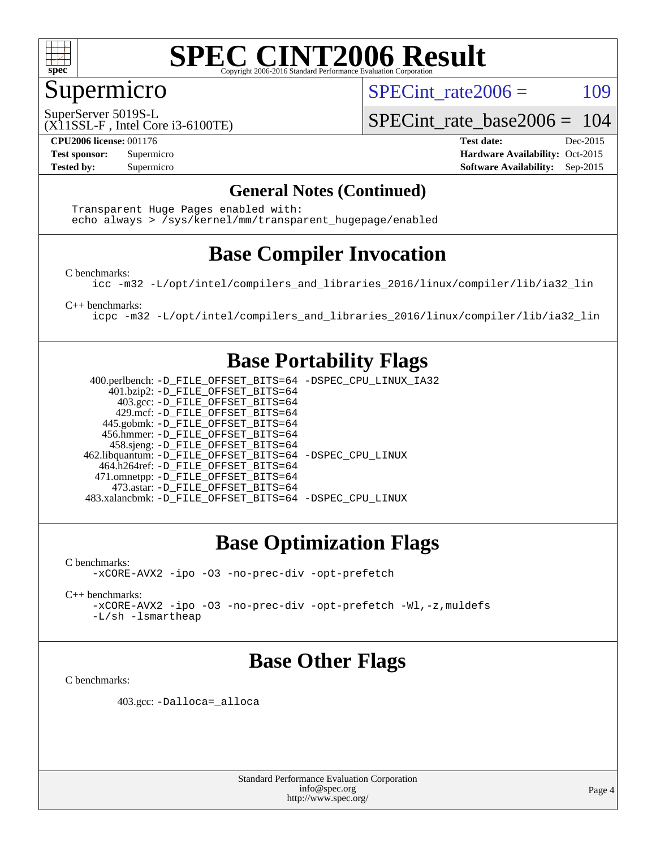

#### Supermicro

SPECint rate $2006 = 109$ 

SuperServer 5019S-L

[SPECint\\_rate\\_base2006 =](http://www.spec.org/auto/cpu2006/Docs/result-fields.html#SPECintratebase2006) 104

(X11SSL-F , Intel Core i3-6100TE)

**[CPU2006 license:](http://www.spec.org/auto/cpu2006/Docs/result-fields.html#CPU2006license)** 001176 **[Test date:](http://www.spec.org/auto/cpu2006/Docs/result-fields.html#Testdate)** Dec-2015 **[Test sponsor:](http://www.spec.org/auto/cpu2006/Docs/result-fields.html#Testsponsor)** Supermicro Supermicro **[Hardware Availability:](http://www.spec.org/auto/cpu2006/Docs/result-fields.html#HardwareAvailability)** Oct-2015 **[Tested by:](http://www.spec.org/auto/cpu2006/Docs/result-fields.html#Testedby)** Supermicro **Supermicro [Software Availability:](http://www.spec.org/auto/cpu2006/Docs/result-fields.html#SoftwareAvailability)** Sep-2015

#### **[General Notes \(Continued\)](http://www.spec.org/auto/cpu2006/Docs/result-fields.html#GeneralNotes)**

 Transparent Huge Pages enabled with: echo always > /sys/kernel/mm/transparent\_hugepage/enabled

### **[Base Compiler Invocation](http://www.spec.org/auto/cpu2006/Docs/result-fields.html#BaseCompilerInvocation)**

[C benchmarks](http://www.spec.org/auto/cpu2006/Docs/result-fields.html#Cbenchmarks):

[icc -m32 -L/opt/intel/compilers\\_and\\_libraries\\_2016/linux/compiler/lib/ia32\\_lin](http://www.spec.org/cpu2006/results/res2016q1/cpu2006-20151223-38496.flags.html#user_CCbase_intel_icc_e10256ba5924b668798078a321b0cb3f)

[C++ benchmarks:](http://www.spec.org/auto/cpu2006/Docs/result-fields.html#CXXbenchmarks)

[icpc -m32 -L/opt/intel/compilers\\_and\\_libraries\\_2016/linux/compiler/lib/ia32\\_lin](http://www.spec.org/cpu2006/results/res2016q1/cpu2006-20151223-38496.flags.html#user_CXXbase_intel_icpc_b4f50a394bdb4597aa5879c16bc3f5c5)

#### **[Base Portability Flags](http://www.spec.org/auto/cpu2006/Docs/result-fields.html#BasePortabilityFlags)**

 400.perlbench: [-D\\_FILE\\_OFFSET\\_BITS=64](http://www.spec.org/cpu2006/results/res2016q1/cpu2006-20151223-38496.flags.html#user_basePORTABILITY400_perlbench_file_offset_bits_64_438cf9856305ebd76870a2c6dc2689ab) [-DSPEC\\_CPU\\_LINUX\\_IA32](http://www.spec.org/cpu2006/results/res2016q1/cpu2006-20151223-38496.flags.html#b400.perlbench_baseCPORTABILITY_DSPEC_CPU_LINUX_IA32) 401.bzip2: [-D\\_FILE\\_OFFSET\\_BITS=64](http://www.spec.org/cpu2006/results/res2016q1/cpu2006-20151223-38496.flags.html#user_basePORTABILITY401_bzip2_file_offset_bits_64_438cf9856305ebd76870a2c6dc2689ab) 403.gcc: [-D\\_FILE\\_OFFSET\\_BITS=64](http://www.spec.org/cpu2006/results/res2016q1/cpu2006-20151223-38496.flags.html#user_basePORTABILITY403_gcc_file_offset_bits_64_438cf9856305ebd76870a2c6dc2689ab) 429.mcf: [-D\\_FILE\\_OFFSET\\_BITS=64](http://www.spec.org/cpu2006/results/res2016q1/cpu2006-20151223-38496.flags.html#user_basePORTABILITY429_mcf_file_offset_bits_64_438cf9856305ebd76870a2c6dc2689ab) 445.gobmk: [-D\\_FILE\\_OFFSET\\_BITS=64](http://www.spec.org/cpu2006/results/res2016q1/cpu2006-20151223-38496.flags.html#user_basePORTABILITY445_gobmk_file_offset_bits_64_438cf9856305ebd76870a2c6dc2689ab) 456.hmmer: [-D\\_FILE\\_OFFSET\\_BITS=64](http://www.spec.org/cpu2006/results/res2016q1/cpu2006-20151223-38496.flags.html#user_basePORTABILITY456_hmmer_file_offset_bits_64_438cf9856305ebd76870a2c6dc2689ab) 458.sjeng: [-D\\_FILE\\_OFFSET\\_BITS=64](http://www.spec.org/cpu2006/results/res2016q1/cpu2006-20151223-38496.flags.html#user_basePORTABILITY458_sjeng_file_offset_bits_64_438cf9856305ebd76870a2c6dc2689ab) 462.libquantum: [-D\\_FILE\\_OFFSET\\_BITS=64](http://www.spec.org/cpu2006/results/res2016q1/cpu2006-20151223-38496.flags.html#user_basePORTABILITY462_libquantum_file_offset_bits_64_438cf9856305ebd76870a2c6dc2689ab) [-DSPEC\\_CPU\\_LINUX](http://www.spec.org/cpu2006/results/res2016q1/cpu2006-20151223-38496.flags.html#b462.libquantum_baseCPORTABILITY_DSPEC_CPU_LINUX) 464.h264ref: [-D\\_FILE\\_OFFSET\\_BITS=64](http://www.spec.org/cpu2006/results/res2016q1/cpu2006-20151223-38496.flags.html#user_basePORTABILITY464_h264ref_file_offset_bits_64_438cf9856305ebd76870a2c6dc2689ab) 471.omnetpp: [-D\\_FILE\\_OFFSET\\_BITS=64](http://www.spec.org/cpu2006/results/res2016q1/cpu2006-20151223-38496.flags.html#user_basePORTABILITY471_omnetpp_file_offset_bits_64_438cf9856305ebd76870a2c6dc2689ab) 473.astar: [-D\\_FILE\\_OFFSET\\_BITS=64](http://www.spec.org/cpu2006/results/res2016q1/cpu2006-20151223-38496.flags.html#user_basePORTABILITY473_astar_file_offset_bits_64_438cf9856305ebd76870a2c6dc2689ab) 483.xalancbmk: [-D\\_FILE\\_OFFSET\\_BITS=64](http://www.spec.org/cpu2006/results/res2016q1/cpu2006-20151223-38496.flags.html#user_basePORTABILITY483_xalancbmk_file_offset_bits_64_438cf9856305ebd76870a2c6dc2689ab) [-DSPEC\\_CPU\\_LINUX](http://www.spec.org/cpu2006/results/res2016q1/cpu2006-20151223-38496.flags.html#b483.xalancbmk_baseCXXPORTABILITY_DSPEC_CPU_LINUX)

### **[Base Optimization Flags](http://www.spec.org/auto/cpu2006/Docs/result-fields.html#BaseOptimizationFlags)**

[C benchmarks](http://www.spec.org/auto/cpu2006/Docs/result-fields.html#Cbenchmarks): [-xCORE-AVX2](http://www.spec.org/cpu2006/results/res2016q1/cpu2006-20151223-38496.flags.html#user_CCbase_f-xAVX2_5f5fc0cbe2c9f62c816d3e45806c70d7) [-ipo](http://www.spec.org/cpu2006/results/res2016q1/cpu2006-20151223-38496.flags.html#user_CCbase_f-ipo) [-O3](http://www.spec.org/cpu2006/results/res2016q1/cpu2006-20151223-38496.flags.html#user_CCbase_f-O3) [-no-prec-div](http://www.spec.org/cpu2006/results/res2016q1/cpu2006-20151223-38496.flags.html#user_CCbase_f-no-prec-div) [-opt-prefetch](http://www.spec.org/cpu2006/results/res2016q1/cpu2006-20151223-38496.flags.html#user_CCbase_f-opt-prefetch)

[C++ benchmarks:](http://www.spec.org/auto/cpu2006/Docs/result-fields.html#CXXbenchmarks)

[-xCORE-AVX2](http://www.spec.org/cpu2006/results/res2016q1/cpu2006-20151223-38496.flags.html#user_CXXbase_f-xAVX2_5f5fc0cbe2c9f62c816d3e45806c70d7) [-ipo](http://www.spec.org/cpu2006/results/res2016q1/cpu2006-20151223-38496.flags.html#user_CXXbase_f-ipo) [-O3](http://www.spec.org/cpu2006/results/res2016q1/cpu2006-20151223-38496.flags.html#user_CXXbase_f-O3) [-no-prec-div](http://www.spec.org/cpu2006/results/res2016q1/cpu2006-20151223-38496.flags.html#user_CXXbase_f-no-prec-div) [-opt-prefetch](http://www.spec.org/cpu2006/results/res2016q1/cpu2006-20151223-38496.flags.html#user_CXXbase_f-opt-prefetch) [-Wl,-z,muldefs](http://www.spec.org/cpu2006/results/res2016q1/cpu2006-20151223-38496.flags.html#user_CXXbase_link_force_multiple1_74079c344b956b9658436fd1b6dd3a8a) [-L/sh -lsmartheap](http://www.spec.org/cpu2006/results/res2016q1/cpu2006-20151223-38496.flags.html#user_CXXbase_SmartHeap_32f6c82aa1ed9c52345d30cf6e4a0499)

### **[Base Other Flags](http://www.spec.org/auto/cpu2006/Docs/result-fields.html#BaseOtherFlags)**

[C benchmarks](http://www.spec.org/auto/cpu2006/Docs/result-fields.html#Cbenchmarks):

403.gcc: [-Dalloca=\\_alloca](http://www.spec.org/cpu2006/results/res2016q1/cpu2006-20151223-38496.flags.html#b403.gcc_baseEXTRA_CFLAGS_Dalloca_be3056838c12de2578596ca5467af7f3)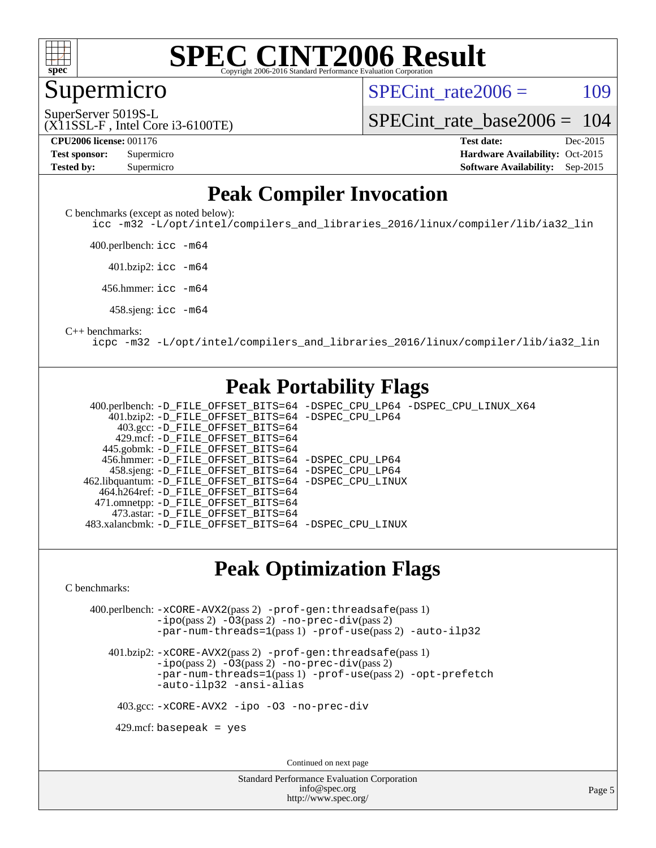

Supermicro

SPECint rate $2006 = 109$ 

(X11SSL-F , Intel Core i3-6100TE) SuperServer 5019S-L

[SPECint\\_rate\\_base2006 =](http://www.spec.org/auto/cpu2006/Docs/result-fields.html#SPECintratebase2006) 104

**[CPU2006 license:](http://www.spec.org/auto/cpu2006/Docs/result-fields.html#CPU2006license)** 001176 **[Test date:](http://www.spec.org/auto/cpu2006/Docs/result-fields.html#Testdate)** Dec-2015

| <b>Test sponsor:</b> | Supermicro |
|----------------------|------------|
| <b>Tested by:</b>    | Supermicro |

**[Hardware Availability:](http://www.spec.org/auto/cpu2006/Docs/result-fields.html#HardwareAvailability)** Oct-2015 **[Software Availability:](http://www.spec.org/auto/cpu2006/Docs/result-fields.html#SoftwareAvailability)** Sep-2015

#### **[Peak Compiler Invocation](http://www.spec.org/auto/cpu2006/Docs/result-fields.html#PeakCompilerInvocation)**

[C benchmarks \(except as noted below\)](http://www.spec.org/auto/cpu2006/Docs/result-fields.html#Cbenchmarksexceptasnotedbelow):

[icc -m32 -L/opt/intel/compilers\\_and\\_libraries\\_2016/linux/compiler/lib/ia32\\_lin](http://www.spec.org/cpu2006/results/res2016q1/cpu2006-20151223-38496.flags.html#user_CCpeak_intel_icc_e10256ba5924b668798078a321b0cb3f)

400.perlbench: [icc -m64](http://www.spec.org/cpu2006/results/res2016q1/cpu2006-20151223-38496.flags.html#user_peakCCLD400_perlbench_intel_icc_64bit_bda6cc9af1fdbb0edc3795bac97ada53)

401.bzip2: [icc -m64](http://www.spec.org/cpu2006/results/res2016q1/cpu2006-20151223-38496.flags.html#user_peakCCLD401_bzip2_intel_icc_64bit_bda6cc9af1fdbb0edc3795bac97ada53)

456.hmmer: [icc -m64](http://www.spec.org/cpu2006/results/res2016q1/cpu2006-20151223-38496.flags.html#user_peakCCLD456_hmmer_intel_icc_64bit_bda6cc9af1fdbb0edc3795bac97ada53)

458.sjeng: [icc -m64](http://www.spec.org/cpu2006/results/res2016q1/cpu2006-20151223-38496.flags.html#user_peakCCLD458_sjeng_intel_icc_64bit_bda6cc9af1fdbb0edc3795bac97ada53)

#### [C++ benchmarks:](http://www.spec.org/auto/cpu2006/Docs/result-fields.html#CXXbenchmarks)

[icpc -m32 -L/opt/intel/compilers\\_and\\_libraries\\_2016/linux/compiler/lib/ia32\\_lin](http://www.spec.org/cpu2006/results/res2016q1/cpu2006-20151223-38496.flags.html#user_CXXpeak_intel_icpc_b4f50a394bdb4597aa5879c16bc3f5c5)

#### **[Peak Portability Flags](http://www.spec.org/auto/cpu2006/Docs/result-fields.html#PeakPortabilityFlags)**

 400.perlbench: [-D\\_FILE\\_OFFSET\\_BITS=64](http://www.spec.org/cpu2006/results/res2016q1/cpu2006-20151223-38496.flags.html#user_peakPORTABILITY400_perlbench_file_offset_bits_64_438cf9856305ebd76870a2c6dc2689ab) [-DSPEC\\_CPU\\_LP64](http://www.spec.org/cpu2006/results/res2016q1/cpu2006-20151223-38496.flags.html#b400.perlbench_peakCPORTABILITY_DSPEC_CPU_LP64) [-DSPEC\\_CPU\\_LINUX\\_X64](http://www.spec.org/cpu2006/results/res2016q1/cpu2006-20151223-38496.flags.html#b400.perlbench_peakCPORTABILITY_DSPEC_CPU_LINUX_X64) 401.bzip2: [-D\\_FILE\\_OFFSET\\_BITS=64](http://www.spec.org/cpu2006/results/res2016q1/cpu2006-20151223-38496.flags.html#user_peakPORTABILITY401_bzip2_file_offset_bits_64_438cf9856305ebd76870a2c6dc2689ab) [-DSPEC\\_CPU\\_LP64](http://www.spec.org/cpu2006/results/res2016q1/cpu2006-20151223-38496.flags.html#suite_peakCPORTABILITY401_bzip2_DSPEC_CPU_LP64) 403.gcc: [-D\\_FILE\\_OFFSET\\_BITS=64](http://www.spec.org/cpu2006/results/res2016q1/cpu2006-20151223-38496.flags.html#user_peakPORTABILITY403_gcc_file_offset_bits_64_438cf9856305ebd76870a2c6dc2689ab) 429.mcf: [-D\\_FILE\\_OFFSET\\_BITS=64](http://www.spec.org/cpu2006/results/res2016q1/cpu2006-20151223-38496.flags.html#user_peakPORTABILITY429_mcf_file_offset_bits_64_438cf9856305ebd76870a2c6dc2689ab) 445.gobmk: [-D\\_FILE\\_OFFSET\\_BITS=64](http://www.spec.org/cpu2006/results/res2016q1/cpu2006-20151223-38496.flags.html#user_peakPORTABILITY445_gobmk_file_offset_bits_64_438cf9856305ebd76870a2c6dc2689ab) 456.hmmer: [-D\\_FILE\\_OFFSET\\_BITS=64](http://www.spec.org/cpu2006/results/res2016q1/cpu2006-20151223-38496.flags.html#user_peakPORTABILITY456_hmmer_file_offset_bits_64_438cf9856305ebd76870a2c6dc2689ab) [-DSPEC\\_CPU\\_LP64](http://www.spec.org/cpu2006/results/res2016q1/cpu2006-20151223-38496.flags.html#suite_peakCPORTABILITY456_hmmer_DSPEC_CPU_LP64) 458.sjeng: [-D\\_FILE\\_OFFSET\\_BITS=64](http://www.spec.org/cpu2006/results/res2016q1/cpu2006-20151223-38496.flags.html#user_peakPORTABILITY458_sjeng_file_offset_bits_64_438cf9856305ebd76870a2c6dc2689ab) [-DSPEC\\_CPU\\_LP64](http://www.spec.org/cpu2006/results/res2016q1/cpu2006-20151223-38496.flags.html#suite_peakCPORTABILITY458_sjeng_DSPEC_CPU_LP64) 462.libquantum: [-D\\_FILE\\_OFFSET\\_BITS=64](http://www.spec.org/cpu2006/results/res2016q1/cpu2006-20151223-38496.flags.html#user_peakPORTABILITY462_libquantum_file_offset_bits_64_438cf9856305ebd76870a2c6dc2689ab) [-DSPEC\\_CPU\\_LINUX](http://www.spec.org/cpu2006/results/res2016q1/cpu2006-20151223-38496.flags.html#b462.libquantum_peakCPORTABILITY_DSPEC_CPU_LINUX) 464.h264ref: [-D\\_FILE\\_OFFSET\\_BITS=64](http://www.spec.org/cpu2006/results/res2016q1/cpu2006-20151223-38496.flags.html#user_peakPORTABILITY464_h264ref_file_offset_bits_64_438cf9856305ebd76870a2c6dc2689ab) 471.omnetpp: [-D\\_FILE\\_OFFSET\\_BITS=64](http://www.spec.org/cpu2006/results/res2016q1/cpu2006-20151223-38496.flags.html#user_peakPORTABILITY471_omnetpp_file_offset_bits_64_438cf9856305ebd76870a2c6dc2689ab) 473.astar: [-D\\_FILE\\_OFFSET\\_BITS=64](http://www.spec.org/cpu2006/results/res2016q1/cpu2006-20151223-38496.flags.html#user_peakPORTABILITY473_astar_file_offset_bits_64_438cf9856305ebd76870a2c6dc2689ab) 483.xalancbmk: [-D\\_FILE\\_OFFSET\\_BITS=64](http://www.spec.org/cpu2006/results/res2016q1/cpu2006-20151223-38496.flags.html#user_peakPORTABILITY483_xalancbmk_file_offset_bits_64_438cf9856305ebd76870a2c6dc2689ab) [-DSPEC\\_CPU\\_LINUX](http://www.spec.org/cpu2006/results/res2016q1/cpu2006-20151223-38496.flags.html#b483.xalancbmk_peakCXXPORTABILITY_DSPEC_CPU_LINUX)

#### **[Peak Optimization Flags](http://www.spec.org/auto/cpu2006/Docs/result-fields.html#PeakOptimizationFlags)**

[C benchmarks](http://www.spec.org/auto/cpu2006/Docs/result-fields.html#Cbenchmarks):

 400.perlbench: [-xCORE-AVX2](http://www.spec.org/cpu2006/results/res2016q1/cpu2006-20151223-38496.flags.html#user_peakPASS2_CFLAGSPASS2_LDCFLAGS400_perlbench_f-xAVX2_5f5fc0cbe2c9f62c816d3e45806c70d7)(pass 2) [-prof-gen:threadsafe](http://www.spec.org/cpu2006/results/res2016q1/cpu2006-20151223-38496.flags.html#user_peakPASS1_CFLAGSPASS1_LDCFLAGS400_perlbench_prof_gen_21a26eb79f378b550acd7bec9fe4467a)(pass 1) [-ipo](http://www.spec.org/cpu2006/results/res2016q1/cpu2006-20151223-38496.flags.html#user_peakPASS2_CFLAGSPASS2_LDCFLAGS400_perlbench_f-ipo)(pass 2) [-O3](http://www.spec.org/cpu2006/results/res2016q1/cpu2006-20151223-38496.flags.html#user_peakPASS2_CFLAGSPASS2_LDCFLAGS400_perlbench_f-O3)(pass 2) [-no-prec-div](http://www.spec.org/cpu2006/results/res2016q1/cpu2006-20151223-38496.flags.html#user_peakPASS2_CFLAGSPASS2_LDCFLAGS400_perlbench_f-no-prec-div)(pass 2) [-par-num-threads=1](http://www.spec.org/cpu2006/results/res2016q1/cpu2006-20151223-38496.flags.html#user_peakPASS1_CFLAGSPASS1_LDCFLAGS400_perlbench_par_num_threads_786a6ff141b4e9e90432e998842df6c2)(pass 1) [-prof-use](http://www.spec.org/cpu2006/results/res2016q1/cpu2006-20151223-38496.flags.html#user_peakPASS2_CFLAGSPASS2_LDCFLAGS400_perlbench_prof_use_bccf7792157ff70d64e32fe3e1250b55)(pass 2) [-auto-ilp32](http://www.spec.org/cpu2006/results/res2016q1/cpu2006-20151223-38496.flags.html#user_peakCOPTIMIZE400_perlbench_f-auto-ilp32)

 401.bzip2: [-xCORE-AVX2](http://www.spec.org/cpu2006/results/res2016q1/cpu2006-20151223-38496.flags.html#user_peakPASS2_CFLAGSPASS2_LDCFLAGS401_bzip2_f-xAVX2_5f5fc0cbe2c9f62c816d3e45806c70d7)(pass 2) [-prof-gen:threadsafe](http://www.spec.org/cpu2006/results/res2016q1/cpu2006-20151223-38496.flags.html#user_peakPASS1_CFLAGSPASS1_LDCFLAGS401_bzip2_prof_gen_21a26eb79f378b550acd7bec9fe4467a)(pass 1)  $-i\text{po}(pass 2)$  [-O3](http://www.spec.org/cpu2006/results/res2016q1/cpu2006-20151223-38496.flags.html#user_peakPASS2_CFLAGSPASS2_LDCFLAGS401_bzip2_f-O3) $(pass 2)$  [-no-prec-div](http://www.spec.org/cpu2006/results/res2016q1/cpu2006-20151223-38496.flags.html#user_peakPASS2_CFLAGSPASS2_LDCFLAGS401_bzip2_f-no-prec-div) $(pass 2)$ [-par-num-threads=1](http://www.spec.org/cpu2006/results/res2016q1/cpu2006-20151223-38496.flags.html#user_peakPASS1_CFLAGSPASS1_LDCFLAGS401_bzip2_par_num_threads_786a6ff141b4e9e90432e998842df6c2)(pass 1) [-prof-use](http://www.spec.org/cpu2006/results/res2016q1/cpu2006-20151223-38496.flags.html#user_peakPASS2_CFLAGSPASS2_LDCFLAGS401_bzip2_prof_use_bccf7792157ff70d64e32fe3e1250b55)(pass 2) [-opt-prefetch](http://www.spec.org/cpu2006/results/res2016q1/cpu2006-20151223-38496.flags.html#user_peakCOPTIMIZE401_bzip2_f-opt-prefetch) [-auto-ilp32](http://www.spec.org/cpu2006/results/res2016q1/cpu2006-20151223-38496.flags.html#user_peakCOPTIMIZE401_bzip2_f-auto-ilp32) [-ansi-alias](http://www.spec.org/cpu2006/results/res2016q1/cpu2006-20151223-38496.flags.html#user_peakCOPTIMIZE401_bzip2_f-ansi-alias)

403.gcc: [-xCORE-AVX2](http://www.spec.org/cpu2006/results/res2016q1/cpu2006-20151223-38496.flags.html#user_peakCOPTIMIZE403_gcc_f-xAVX2_5f5fc0cbe2c9f62c816d3e45806c70d7) [-ipo](http://www.spec.org/cpu2006/results/res2016q1/cpu2006-20151223-38496.flags.html#user_peakCOPTIMIZE403_gcc_f-ipo) [-O3](http://www.spec.org/cpu2006/results/res2016q1/cpu2006-20151223-38496.flags.html#user_peakCOPTIMIZE403_gcc_f-O3) [-no-prec-div](http://www.spec.org/cpu2006/results/res2016q1/cpu2006-20151223-38496.flags.html#user_peakCOPTIMIZE403_gcc_f-no-prec-div)

 $429$ .mcf: basepeak = yes

Continued on next page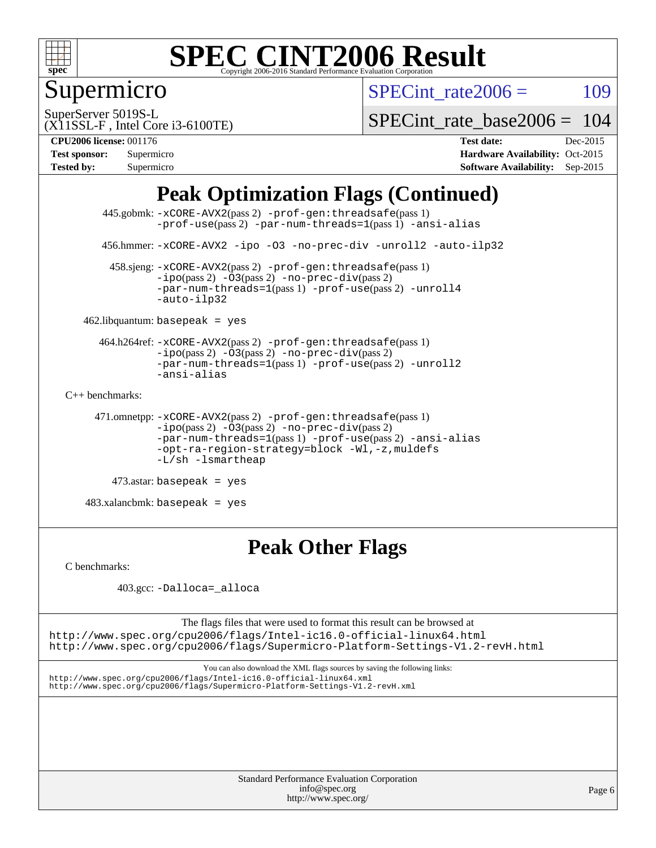

Supermicro

SPECint rate $2006 = 109$ 

(X11SSL-F , Intel Core i3-6100TE) SuperServer 5019S-L

[SPECint\\_rate\\_base2006 =](http://www.spec.org/auto/cpu2006/Docs/result-fields.html#SPECintratebase2006) 104

**[CPU2006 license:](http://www.spec.org/auto/cpu2006/Docs/result-fields.html#CPU2006license)** 001176 **[Test date:](http://www.spec.org/auto/cpu2006/Docs/result-fields.html#Testdate)** Dec-2015

| <b>Test sponsor:</b> | Supermicro |
|----------------------|------------|
| <b>Tested by:</b>    | Supermicro |

**[Hardware Availability:](http://www.spec.org/auto/cpu2006/Docs/result-fields.html#HardwareAvailability)** Oct-2015 **[Software Availability:](http://www.spec.org/auto/cpu2006/Docs/result-fields.html#SoftwareAvailability)** Sep-2015

### **[Peak Optimization Flags \(Continued\)](http://www.spec.org/auto/cpu2006/Docs/result-fields.html#PeakOptimizationFlags)**

```
 445.gobmk: -xCORE-AVX2(pass 2) -prof-gen:threadsafe(pass 1)
                -prof-use(pass 2) -par-num-threads=1(pass 1) -ansi-alias
       456.hmmer: -xCORE-AVX2 -ipo -O3 -no-prec-div -unroll2 -auto-ilp32
         458.sjeng: -xCORE-AVX2(pass 2) -prof-gen:threadsafe(pass 1)
                -ipo(pass 2) -\overline{03(pass 2)}-no-prec-div(pass 2)
                -par-num-threads=1(pass 1) -prof-use(pass 2) -unroll4
                -auto-ilp32
   462.libquantum: basepeak = yes
       464.h264ref: -xCORE-AVX2(pass 2) -prof-gen:threadsafe(pass 1)
                -i\text{po}(pass 2) -03(pass 2) -no-prec-div(pass 2)-par-num-threads=1(pass 1) -prof-use(pass 2) -unroll2
                -ansi-alias
C++ benchmarks: 
      471.omnetpp: -xCORE-AVX2(pass 2) -prof-gen:threadsafe(pass 1)
                -ipo(pass 2) -O3(pass 2) -no-prec-div(pass 2)
                -par-num-threads=1(pass 1) -prof-use(pass 2) -ansi-alias
                -opt-ra-region-strategy=block -Wl,-z,muldefs
                -L/sh -lsmartheap
```

```
 473.astar: basepeak = yes
```
 $483.xalanchmk: basepeak = yes$ 

#### **[Peak Other Flags](http://www.spec.org/auto/cpu2006/Docs/result-fields.html#PeakOtherFlags)**

[C benchmarks](http://www.spec.org/auto/cpu2006/Docs/result-fields.html#Cbenchmarks):

403.gcc: [-Dalloca=\\_alloca](http://www.spec.org/cpu2006/results/res2016q1/cpu2006-20151223-38496.flags.html#b403.gcc_peakEXTRA_CFLAGS_Dalloca_be3056838c12de2578596ca5467af7f3)

The flags files that were used to format this result can be browsed at <http://www.spec.org/cpu2006/flags/Intel-ic16.0-official-linux64.html>

<http://www.spec.org/cpu2006/flags/Supermicro-Platform-Settings-V1.2-revH.html>

You can also download the XML flags sources by saving the following links: <http://www.spec.org/cpu2006/flags/Intel-ic16.0-official-linux64.xml> <http://www.spec.org/cpu2006/flags/Supermicro-Platform-Settings-V1.2-revH.xml>